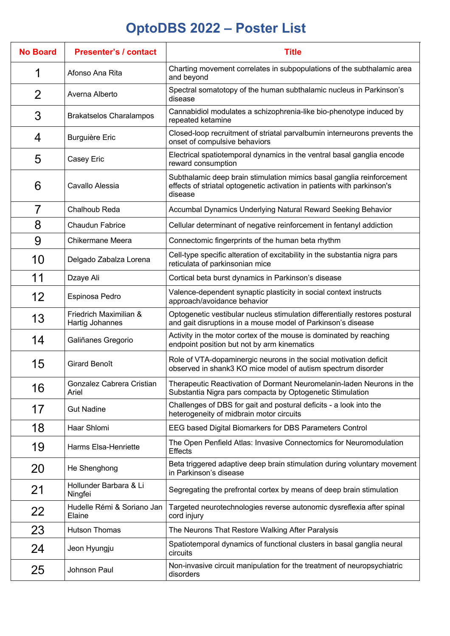## **OptoDBS 2022 – Poster List**

| <b>No Board</b> | <b>Presenter's / contact</b>              | <b>Title</b>                                                                                                                                                |
|-----------------|-------------------------------------------|-------------------------------------------------------------------------------------------------------------------------------------------------------------|
|                 | Afonso Ana Rita                           | Charting movement correlates in subpopulations of the subthalamic area<br>and beyond                                                                        |
| 2               | Averna Alberto                            | Spectral somatotopy of the human subthalamic nucleus in Parkinson's<br>disease                                                                              |
| 3               | <b>Brakatselos Charalampos</b>            | Cannabidiol modulates a schizophrenia-like bio-phenotype induced by<br>repeated ketamine                                                                    |
| 4               | <b>Burguière Eric</b>                     | Closed-loop recruitment of striatal parvalbumin interneurons prevents the<br>onset of compulsive behaviors                                                  |
| 5               | Casey Eric                                | Electrical spatiotemporal dynamics in the ventral basal ganglia encode<br>reward consumption                                                                |
| 6               | Cavallo Alessia                           | Subthalamic deep brain stimulation mimics basal ganglia reinforcement<br>effects of striatal optogenetic activation in patients with parkinson's<br>disease |
| 7               | Chalhoub Reda                             | Accumbal Dynamics Underlying Natural Reward Seeking Behavior                                                                                                |
| 8               | <b>Chaudun Fabrice</b>                    | Cellular determinant of negative reinforcement in fentanyl addiction                                                                                        |
| 9               | <b>Chikermane Meera</b>                   | Connectomic fingerprints of the human beta rhythm                                                                                                           |
| 10              | Delgado Zabalza Lorena                    | Cell-type specific alteration of excitability in the substantia nigra pars<br>reticulata of parkinsonian mice                                               |
| 11              | Dzaye Ali                                 | Cortical beta burst dynamics in Parkinson's disease                                                                                                         |
| 12              | Espinosa Pedro                            | Valence-dependent synaptic plasticity in social context instructs<br>approach/avoidance behavior                                                            |
| 13              | Friedrich Maximilian &<br>Hartig Johannes | Optogenetic vestibular nucleus stimulation differentially restores postural<br>and gait disruptions in a mouse model of Parkinson's disease                 |
| 14              | Galiñanes Gregorio                        | Activity in the motor cortex of the mouse is dominated by reaching<br>endpoint position but not by arm kinematics                                           |
| 15              | <b>Girard Benoît</b>                      | Role of VTA-dopaminergic neurons in the social motivation deficit<br>observed in shank3 KO mice model of autism spectrum disorder                           |
| 16              | Gonzalez Cabrera Cristian<br>Ariel        | Therapeutic Reactivation of Dormant Neuromelanin-laden Neurons in the<br>Substantia Nigra pars compacta by Optogenetic Stimulation                          |
| 17              | <b>Gut Nadine</b>                         | Challenges of DBS for gait and postural deficits - a look into the<br>heterogeneity of midbrain motor circuits                                              |
| 18              | Haar Shlomi                               | EEG based Digital Biomarkers for DBS Parameters Control                                                                                                     |
| 19              | Harms Elsa-Henriette                      | The Open Penfield Atlas: Invasive Connectomics for Neuromodulation<br><b>Effects</b>                                                                        |
| 20              | He Shenghong                              | Beta triggered adaptive deep brain stimulation during voluntary movement<br>in Parkinson's disease                                                          |
| 21              | Hollunder Barbara & Li<br>Ningfei         | Segregating the prefrontal cortex by means of deep brain stimulation                                                                                        |
| 22              | Hudelle Rémi & Soriano Jan<br>Elaine      | Targeted neurotechnologies reverse autonomic dysreflexia after spinal<br>cord injury                                                                        |
| 23              | <b>Hutson Thomas</b>                      | The Neurons That Restore Walking After Paralysis                                                                                                            |
| 24              | Jeon Hyungju                              | Spatiotemporal dynamics of functional clusters in basal ganglia neural<br>circuits                                                                          |
| 25              | Johnson Paul                              | Non-invasive circuit manipulation for the treatment of neuropsychiatric<br>disorders                                                                        |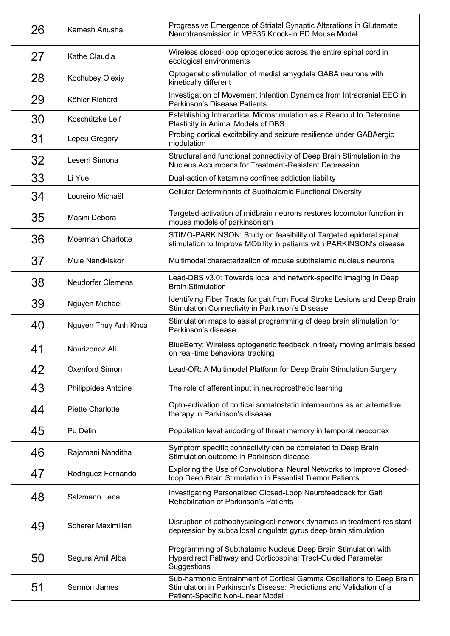| 26 | Kamesh Anusha             | Progressive Emergence of Striatal Synaptic Alterations in Glutamate<br>Neurotransmission in VPS35 Knock-In PD Mouse Model                                                         |
|----|---------------------------|-----------------------------------------------------------------------------------------------------------------------------------------------------------------------------------|
| 27 | Kathe Claudia             | Wireless closed-loop optogenetics across the entire spinal cord in<br>ecological environments                                                                                     |
| 28 | Kochubey Olexiy           | Optogenetic stimulation of medial amygdala GABA neurons with<br>kinetically different                                                                                             |
| 29 | Köhler Richard            | Investigation of Movement Intention Dynamics from Intracranial EEG in<br>Parkinson's Disease Patients                                                                             |
| 30 | Koschützke Leif           | Establishing Intracortical Microstimulation as a Readout to Determine<br>Plasticity in Animal Models of DBS                                                                       |
| 31 | Lepeu Gregory             | Probing cortical excitability and seizure resilience under GABAergic<br>modulation                                                                                                |
| 32 | Leserri Simona            | Structural and functional connectivity of Deep Brain Stimulation in the<br>Nucleus Accumbens for Treatment-Resistant Depression                                                   |
| 33 | Li Yue                    | Dual-action of ketamine confines addiction liability                                                                                                                              |
| 34 | Loureiro Michaël          | Cellular Determinants of Subthalamic Functional Diversity                                                                                                                         |
| 35 | Masini Debora             | Targeted activation of midbrain neurons restores locomotor function in<br>mouse models of parkinsonism                                                                            |
| 36 | Moerman Charlotte         | STIMO-PARKINSON: Study on feasibility of Targeted epidural spinal<br>stimulation to Improve MObility in patients with PARKINSON's disease                                         |
| 37 | Mule Nandkiskor           | Multimodal characterization of mouse subthalamic nucleus neurons                                                                                                                  |
| 38 | <b>Neudorfer Clemens</b>  | Lead-DBS v3.0: Towards local and network-specific imaging in Deep<br><b>Brain Stimulation</b>                                                                                     |
| 39 | Nguyen Michael            | Identifying Fiber Tracts for gait from Focal Stroke Lesions and Deep Brain<br>Stimulation Connectivity in Parkinson's Disease                                                     |
| 40 | Nguyen Thuy Anh Khoa      | Stimulation maps to assist programming of deep brain stimulation for<br>Parkinson's disease                                                                                       |
| 41 | Nourizonoz Ali            | BlueBerry: Wireless optogenetic feedback in freely moving animals based<br>on real-time behavioral tracking                                                                       |
| 42 | Oxenford Simon            | Lead-OR: A Multimodal Platform for Deep Brain Stimulation Surgery                                                                                                                 |
| 43 | Philippides Antoine       | The role of afferent input in neuroprosthetic learning                                                                                                                            |
| 44 | <b>Piette Charlotte</b>   | Opto-activation of cortical somatostatin interneurons as an alternative<br>therapy in Parkinson's disease                                                                         |
| 45 | Pu Delin                  | Population level encoding of threat memory in temporal neocortex                                                                                                                  |
| 46 | Rajamani Nanditha         | Symptom specific connectivity can be correlated to Deep Brain<br>Stimulation outcome in Parkinson disease                                                                         |
| 47 | Rodriguez Fernando        | Exploring the Use of Convolutional Neural Networks to Improve Closed-<br>loop Deep Brain Stimulation in Essential Tremor Patients                                                 |
| 48 | Salzmann Lena             | Investigating Personalized Closed-Loop Neurofeedback for Gait<br><b>Rehabilitation of Parkinson's Patients</b>                                                                    |
| 49 | <b>Scherer Maximilian</b> | Disruption of pathophysiological network dynamics in treatment-resistant<br>depression by subcallosal cingulate gyrus deep brain stimulation                                      |
| 50 | Segura Amil Alba          | Programming of Subthalamic Nucleus Deep Brain Stimulation with<br>Hyperdirect Pathway and Corticospinal Tract-Guided Parameter<br>Suggestions                                     |
| 51 | Sermon James              | Sub-harmonic Entrainment of Cortical Gamma Oscillations to Deep Brain<br>Stimulation in Parkinson's Disease: Predictions and Validation of a<br>Patient-Specific Non-Linear Model |